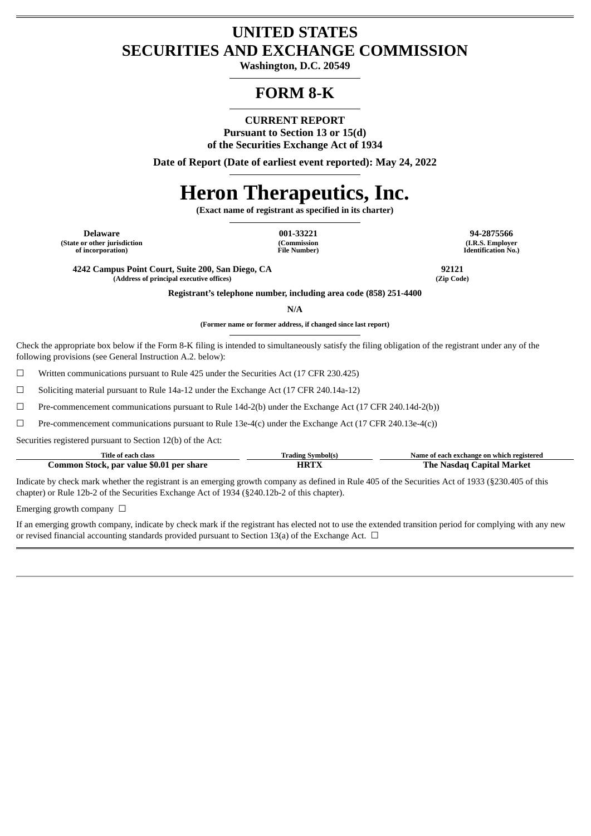## **UNITED STATES SECURITIES AND EXCHANGE COMMISSION**

**Washington, D.C. 20549**

## **FORM 8-K**

**CURRENT REPORT**

**Pursuant to Section 13 or 15(d) of the Securities Exchange Act of 1934**

**Date of Report (Date of earliest event reported): May 24, 2022**

# **Heron Therapeutics, Inc.**

**(Exact name of registrant as specified in its charter)**

**(State or other jurisdiction of incorporation)**

**(Commission File Number)**

**Delaware 001-33221 94-2875566 (I.R.S. Employer Identification No.)**

**4242 Campus Point Court, Suite 200, San Diego, CA 92121**  $(A$ ddress of principal executive offices)

**Registrant's telephone number, including area code (858) 251-4400**

**N/A**

**(Former name or former address, if changed since last report)**

Check the appropriate box below if the Form 8-K filing is intended to simultaneously satisfy the filing obligation of the registrant under any of the following provisions (see General Instruction A.2. below):

☐ Written communications pursuant to Rule 425 under the Securities Act (17 CFR 230.425)

 $\Box$  Soliciting material pursuant to Rule 14a-12 under the Exchange Act (17 CFR 240.14a-12)

☐ Pre-commencement communications pursuant to Rule 14d-2(b) under the Exchange Act (17 CFR 240.14d-2(b))

 $□$  Pre-commencement communications pursuant to Rule 13e-4(c) under the Exchange Act (17 CFR 240.13e-4(c))

Securities registered pursuant to Section 12(b) of the Act:

| Title of each class                      | Trading Symbol(s | Name of each exchange on which registered |
|------------------------------------------|------------------|-------------------------------------------|
| Common Stock, par value \$0.01 per share | <b>ART</b>       | The Nasdag Capital Market                 |

Indicate by check mark whether the registrant is an emerging growth company as defined in Rule 405 of the Securities Act of 1933 (§230.405 of this chapter) or Rule 12b-2 of the Securities Exchange Act of 1934 (§240.12b-2 of this chapter).

Emerging growth company  $\Box$ 

If an emerging growth company, indicate by check mark if the registrant has elected not to use the extended transition period for complying with any new or revised financial accounting standards provided pursuant to Section 13(a) of the Exchange Act.  $\Box$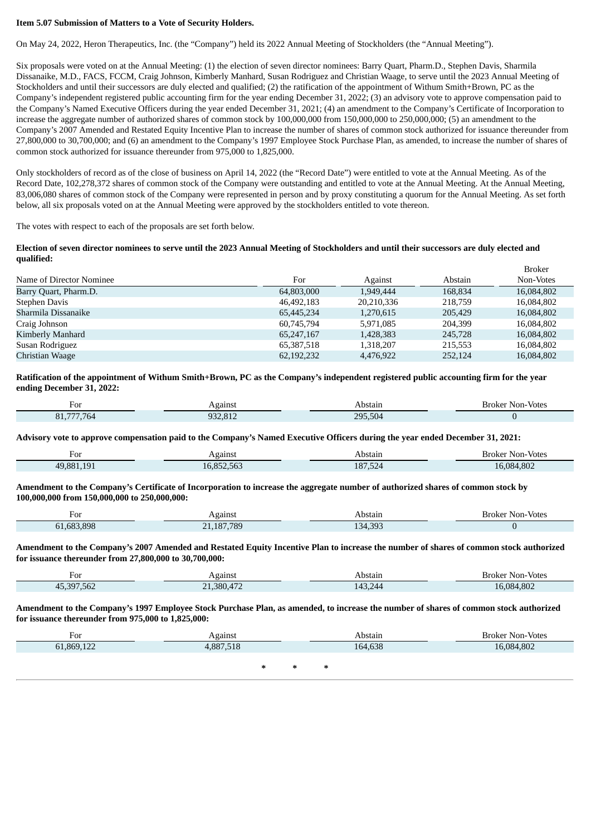#### **Item 5.07 Submission of Matters to a Vote of Security Holders.**

On May 24, 2022, Heron Therapeutics, Inc. (the "Company") held its 2022 Annual Meeting of Stockholders (the "Annual Meeting").

Six proposals were voted on at the Annual Meeting: (1) the election of seven director nominees: Barry Quart, Pharm.D., Stephen Davis, Sharmila Dissanaike, M.D., FACS, FCCM, Craig Johnson, Kimberly Manhard, Susan Rodriguez and Christian Waage, to serve until the 2023 Annual Meeting of Stockholders and until their successors are duly elected and qualified; (2) the ratification of the appointment of Withum Smith+Brown, PC as the Company's independent registered public accounting firm for the year ending December 31, 2022; (3) an advisory vote to approve compensation paid to the Company's Named Executive Officers during the year ended December 31, 2021; (4) an amendment to the Company's Certificate of Incorporation to increase the aggregate number of authorized shares of common stock by 100,000,000 from 150,000,000 to 250,000,000; (5) an amendment to the Company's 2007 Amended and Restated Equity Incentive Plan to increase the number of shares of common stock authorized for issuance thereunder from 27,800,000 to 30,700,000; and (6) an amendment to the Company's 1997 Employee Stock Purchase Plan, as amended, to increase the number of shares of common stock authorized for issuance thereunder from 975,000 to 1,825,000.

Only stockholders of record as of the close of business on April 14, 2022 (the "Record Date") were entitled to vote at the Annual Meeting. As of the Record Date, 102,278,372 shares of common stock of the Company were outstanding and entitled to vote at the Annual Meeting. At the Annual Meeting, 83,006,080 shares of common stock of the Company were represented in person and by proxy constituting a quorum for the Annual Meeting. As set forth below, all six proposals voted on at the Annual Meeting were approved by the stockholders entitled to vote thereon.

The votes with respect to each of the proposals are set forth below.

#### Election of seven director nominees to serve until the 2023 Annual Meeting of Stockholders and until their successors are duly elected and **qualified:**

|                          |              |            |         | <b>Broker</b> |
|--------------------------|--------------|------------|---------|---------------|
| Name of Director Nominee | For          | Against    | Abstain | Non-Votes     |
| Barry Quart, Pharm.D.    | 64,803,000   | 1,949,444  | 168.834 | 16,084,802    |
| Stephen Davis            | 46,492,183   | 20,210,336 | 218.759 | 16,084,802    |
| Sharmila Dissanaike      | 65,445,234   | 1,270,615  | 205,429 | 16,084,802    |
| Craig Johnson            | 60,745,794   | 5.971.085  | 204.399 | 16,084,802    |
| Kimberly Manhard         | 65,247,167   | 1,428,383  | 245,728 | 16,084,802    |
| Susan Rodriguez          | 65,387,518   | 1,318,207  | 215,553 | 16,084,802    |
| Christian Waage          | 62, 192, 232 | 4,476,922  | 252,124 | 16,084,802    |

Ratification of the appointment of Withum Smith+Brown, PC as the Company's independent registered public accounting firm for the year **ending December 31, 2022:**

| For                                            | gains | วรfair              | Non-Votes<br>Broker |
|------------------------------------------------|-------|---------------------|---------------------|
| 555 5c<br>O <sub>1</sub><br>$/ h \Delta$<br>n. |       | 295<br>$-2$<br>.502 |                     |

Advisory vote to approve compensation paid to the Company's Named Executive Officers during the year ended December 31, 2021:

| ⊦∩ו<br>∶∪⊥<br>___                | gains.              | Abstain              | Non-Votes<br>Broker |
|----------------------------------|---------------------|----------------------|---------------------|
| 10 <sub>1</sub><br>19.881<br>40. | 0.72.72<br>$\ldots$ | 187,524<br>__<br>___ | 16.084.802          |

Amendment to the Company's Certificate of Incorporation to increase the aggregate number of authorized shares of common stock by **100,000,000 from 150,000,000 to 250,000,000:**

| For            | Againsi | Abstair                  | Broker Non-Votes |
|----------------|---------|--------------------------|------------------|
| .683.898<br>ור | 187.789 | <b>34.303</b><br>.34.39. |                  |

Amendment to the Company's 2007 Amended and Restated Equity Incentive Plan to increase the number of shares of common stock authorized **for issuance thereunder from 27,800,000 to 30,700,000:**

| For                            | Againsi                | Abstain                       | Non-Votes<br>Broker |
|--------------------------------|------------------------|-------------------------------|---------------------|
| 207.50<br>⁄ I "<br>≺u.<br>,,,, | $1 - 1$<br>.380.<br>n. | $\lambda$<br>$\Lambda$<br>−⊤. | .084.802            |

Amendment to the Company's 1997 Employee Stock Purchase Plan, as amended, to increase the number of shares of common stock authorized **for issuance thereunder from 975,000 to 1,825,000:**

| For        | Against   | Abstain | <b>Broker Non-Votes</b> |
|------------|-----------|---------|-------------------------|
| 61,869,122 | 4,887,518 | 164,638 | 16,084,802              |
|            |           |         |                         |
|            |           | ж       |                         |